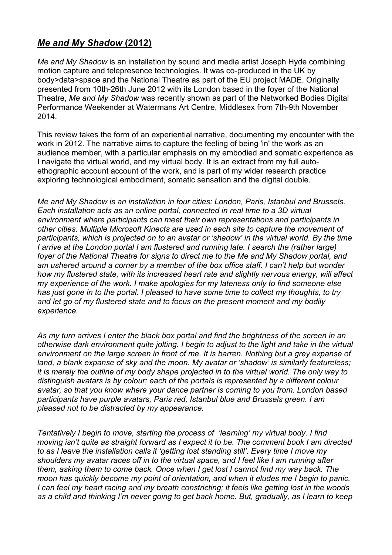## *Me and My Shadow* **(2012)**

*Me and My Shadow* is an installation by sound and media artist Joseph Hyde combining motion capture and telepresence technologies. It was co-produced in the UK by body>data>space and the National Theatre as part of the EU project MADE. Originally presented from 10th-26th June 2012 with its London based in the foyer of the National Theatre, *Me and My Shadow* was recently shown as part of the Networked Bodies Digital Performance Weekender at Watermans Art Centre, Middlesex from 7th-9th November 2014.

This review takes the form of an experiential narrative, documenting my encounter with the work in 2012. The narrative aims to capture the feeling of being 'in' the work as an audience member, with a particular emphasis on my embodied and somatic experience as I navigate the virtual world, and my virtual body. It is an extract from my full autoethographic account account of the work, and is part of my wider research practice exploring technological embodiment, somatic sensation and the digital double.

*Me and My Shadow is an installation in four cities; London, Paris, Istanbul and Brussels. Each installation acts as an online portal, connected in real time to a 3D virtual environment where participants can meet their own representations and participants in other cities. Multiple Microsoft Kinects are used in each site to capture the movement of participants, which is projected on to an avatar or 'shadow' in the virtual world. By the time I arrive at the London portal I am flustered and running late. I search the (rather large) foyer of the National Theatre for signs to direct me to the Me and My Shadow portal, and am ushered around a corner by a member of the box office staff. I can't help but wonder how my flustered state, with its increased heart rate and slightly nervous energy, will affect my experience of the work. I make apologies for my lateness only to find someone else has just gone in to the portal. I pleased to have some time to collect my thoughts, to try and let go of my flustered state and to focus on the present moment and my bodily experience.*

*As my turn arrives I enter the black box portal and find the brightness of the screen in an otherwise dark environment quite jolting. I begin to adjust to the light and take in the virtual environment on the large screen in front of me. It is barren. Nothing but a grey expanse of land, a blank expanse of sky and the moon. My avatar or 'shadow' is similarly featureless;* it is merely the outline of my body shape projected in to the virtual world. The only way to *distinguish avatars is by colour; each of the portals is represented by a different colour avatar, so that you know where your dance partner is coming to you from. London based participants have purple avatars, Paris red, Istanbul blue and Brussels green. I am pleased not to be distracted by my appearance.*

*Tentatively I begin to move, starting the process of 'learning' my virtual body. I find moving isn't quite as straight forward as I expect it to be. The comment book I am directed to as I leave the installation calls it 'getting lost standing still'. Every time I move my shoulders my avatar races off in to the virtual space, and I feel like I am running after them, asking them to come back. Once when I get lost I cannot find my way back. The moon has quickly become my point of orientation, and when it eludes me I begin to panic. I can feel my heart racing and my breath constricting; it feels like getting lost in the woods* as a child and thinking I'm never going to get back home. But, gradually, as I learn to keep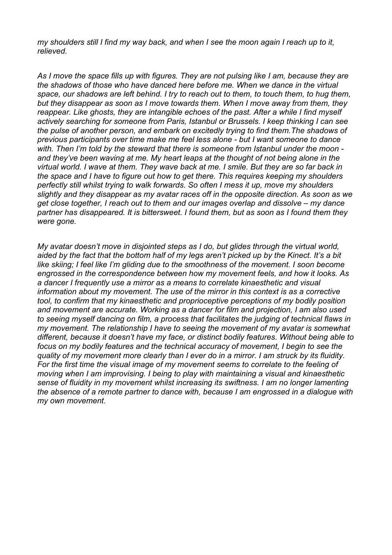my shoulders still I find my way back, and when I see the moon again I reach up to it, *relieved.*

*As I move the space fills up with figures. They are not pulsing like I am, because they are the shadows of those who have danced here before me. When we dance in the virtual space, our shadows are left behind. I try to reach out to them, to touch them, to hug them, but they disappear as soon as I move towards them. When I move away from them, they reappear. Like ghosts, they are intangible echoes of the past. After a while I find myself actively searching for someone from Paris, Istanbul or Brussels. I keep thinking I can see the pulse of another person, and embark on excitedly trying to find them.The shadows of previous participants over time make me feel less alone - but I want someone to dance with. Then I'm told by the steward that there is someone from Istanbul under the moon and they've been waving at me. My heart leaps at the thought of not being alone in the* virtual world. I wave at them. They wave back at me. I smile. But they are so far back in *the space and I have to figure out how to get there. This requires keeping my shoulders perfectly still whilst trying to walk forwards. So often I mess it up, move my shoulders slightly and they disappear as my avatar races off in the opposite direction. As soon as we get close together, I reach out to them and our images overlap and dissolve – my dance partner has disappeared. It is bittersweet. I found them, but as soon as I found them they were gone.*

*My avatar doesn't move in disjointed steps as I do, but glides through the virtual world,* aided by the fact that the bottom half of my legs aren't picked up by the Kinect. It's a bit *like skiing; I feel like I'm gliding due to the smoothness of the movement. I soon become engrossed in the correspondence between how my movement feels, and how it looks. As a dancer I frequently use a mirror as a means to correlate kinaesthetic and visual information about my movement. The use of the mirror in this context is as a corrective tool, to confirm that my kinaesthetic and proprioceptive perceptions of my bodily position and movement are accurate. Working as a dancer for film and projection, I am also used to seeing myself dancing on film, a process that facilitates the judging of technical flaws in my movement. The relationship I have to seeing the movement of my avatar is somewhat different, because it doesn't have my face, or distinct bodily features. Without being able to focus on my bodily features and the technical accuracy of movement, I begin to see the* quality of my movement more clearly than I ever do in a mirror. I am struck by its fluidity. *For the first time the visual image of my movement seems to correlate to the feeling of moving when I am improvising. I being to play with maintaining a visual and kinaesthetic sense of fluidity in my movement whilst increasing its swiftness. I am no longer lamenting the absence of a remote partner to dance with, because I am engrossed in a dialogue with my own movement.*